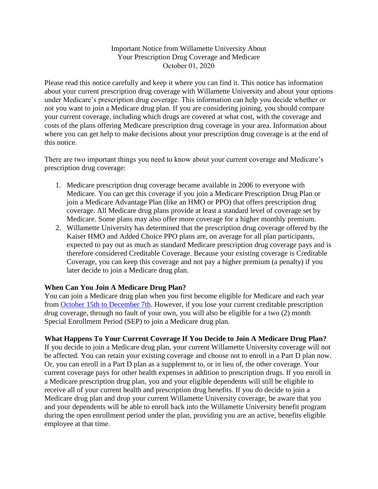## Important Notice from Willamette University About Your Prescription Drug Coverage and Medicare October 01, 2020

Please read this notice carefully and keep it where you can find it. This notice has information about your current prescription drug coverage with Willamette University and about your options under Medicare's prescription drug coverage. This information can help you decide whether or not you want to join a Medicare drug plan. If you are considering joining, you should compare your current coverage, including which drugs are covered at what cost, with the coverage and costs of the plans offering Medicare prescription drug coverage in your area. Information about where you can get help to make decisions about your prescription drug coverage is at the end of this notice.

There are two important things you need to know about your current coverage and Medicare's prescription drug coverage:

- 1. Medicare prescription drug coverage became available in 2006 to everyone with Medicare. You can get this coverage if you join a Medicare Prescription Drug Plan or join a Medicare Advantage Plan (like an HMO or PPO) that offers prescription drug coverage. All Medicare drug plans provide at least a standard level of coverage set by Medicare. Some plans may also offer more coverage for a higher monthly premium.
- 2. Willamette University has determined that the prescription drug coverage offered by the Kaiser HMO and Added Choice PPO plans are, on average for all plan participants, expected to pay out as much as standard Medicare prescription drug coverage pays and is therefore considered Creditable Coverage. Because your existing coverage is Creditable Coverage, you can keep this coverage and not pay a higher premium (a penalty) if you later decide to join a Medicare drug plan.

## **When Can You Join A Medicare Drug Plan?**

You can join a Medicare drug plan when you first become eligible for Medicare and each year from [October 15th to December 7th.](https://www.medicare.gov/) However, if you lose your current creditable prescription drug coverage, through no fault of your own, you will also be eligible for a two (2) month Special Enrollment Period (SEP) to join a Medicare drug plan.

## **What Happens To Your Current Coverage If You Decide to Join A Medicare Drug Plan?**

If you decide to join a Medicare drug plan, your current Willamette University coverage will not be affected. You can retain your existing coverage and choose not to enroll in a Part D plan now. Or, you can enroll in a Part D plan as a supplement to, or in lieu of, the other coverage. Your current coverage pays for other health expenses in addition to prescription drugs. If you enroll in a Medicare prescription drug plan, you and your eligible dependents will still be eligible to receive all of your current health and prescription drug benefits. If you do decide to join a Medicare drug plan and drop your current Willamette University coverage, be aware that you and your dependents will be able to enroll back into the Willamette University benefit program during the open enrollment period under the plan, providing you are an active, benefits eligible employee at that time.